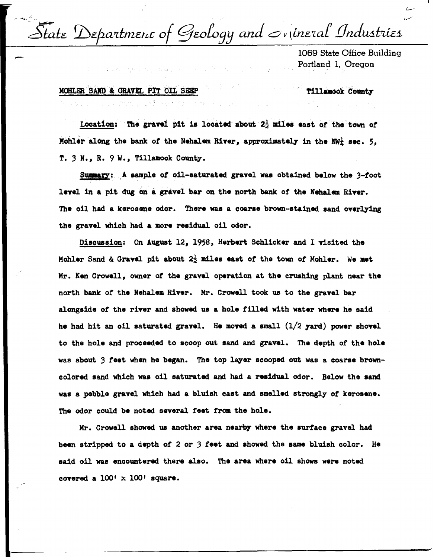- - .. \_ •~.., L,,/'  $\bar{\cal S}$ tate Department of Geology and  $\it$  v (ineral Industries

1069 State Office Building Portland 1, Oregon

MOHLER SAND & GRAVEL PIT OIL SEEP Tillamook County

**STAR CONTROLL OF DISTURBANCE** 

Location: The gravel pit is located about  $2\frac{1}{2}$  miles east of the town of Mohler along the bank of the Nehalem River, approximately in the NW<sub>k</sub> sec. 5, T. 3 N., R. 9 W., Tillamook County.

Summary: A. sample of oil-saturated gravel was obtained below the  $3$ -foot level in a pit dug on a gravel bar on the north bank of the Nehalem River. The oil had a kerosene odor. There was a coarse brown-stained sand overlying the gravel which had a more residual oil odor.

Discussion: On Auguat 12, 1958, Herbert Schlicker and I visited the Mohler Sand & Gravel pit about 2} mil.ea east or the town *ot* Mohler. We aet Mr. Ken Crowell, owner of the gravel operation at the crushing plant near the north bank of the Nehalem River. Mr. Crowell took us to the gravel bar alongside of the river and showed us a hole filled with water where he said he had hit an oil saturated gravel. He moved a small  $(1/2 \text{ yard})$  power shovel to the hole and proceeded to scoop out sand and gravel. The depth of the hole was about 3 feet when he began. The top layer scooped out was a coarse browncolored sand which was oil saturated and had a residual odor. Below the sand was a pebble gravel which had a bluish cast and smelled strongly of kerosene. The odor could be noted several feet from the hole.

Mr. Crowell showed us another area nearby where the surface gravel had been stripped to a depth of 2 or .3 **teet** and ahowed the aame bluish color. He said oil was encountered there also. The area where oil shows were noted covered a  $100' \times 100'$  square.